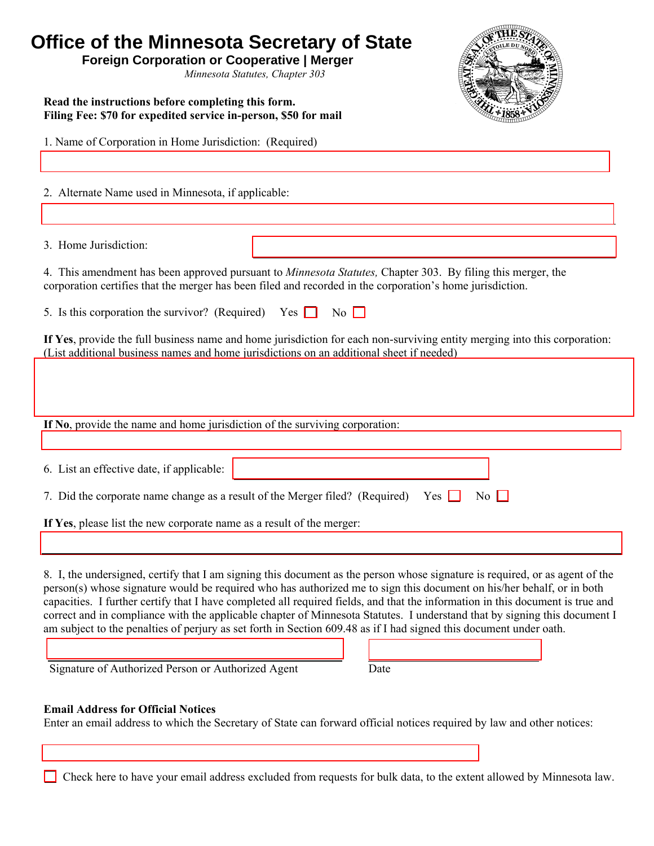| Office of the Minnesota Secretary of State<br><b>Foreign Corporation or Cooperative   Merger</b><br>Minnesota Statutes, Chapter 303                                                                                                                                                                                                                                                                                                                                                                                                                                                                                                        |
|--------------------------------------------------------------------------------------------------------------------------------------------------------------------------------------------------------------------------------------------------------------------------------------------------------------------------------------------------------------------------------------------------------------------------------------------------------------------------------------------------------------------------------------------------------------------------------------------------------------------------------------------|
| Read the instructions before completing this form.<br>Filing Fee: \$70 for expedited service in-person, \$50 for mail                                                                                                                                                                                                                                                                                                                                                                                                                                                                                                                      |
| 1. Name of Corporation in Home Jurisdiction: (Required)                                                                                                                                                                                                                                                                                                                                                                                                                                                                                                                                                                                    |
| 2. Alternate Name used in Minnesota, if applicable:                                                                                                                                                                                                                                                                                                                                                                                                                                                                                                                                                                                        |
| 3. Home Jurisdiction:                                                                                                                                                                                                                                                                                                                                                                                                                                                                                                                                                                                                                      |
| 4. This amendment has been approved pursuant to <i>Minnesota Statutes</i> , Chapter 303. By filing this merger, the<br>corporation certifies that the merger has been filed and recorded in the corporation's home jurisdiction.                                                                                                                                                                                                                                                                                                                                                                                                           |
| $\overline{N_0}$<br>5. Is this corporation the survivor? (Required) Yes $\Box$                                                                                                                                                                                                                                                                                                                                                                                                                                                                                                                                                             |
| If Yes, provide the full business name and home jurisdiction for each non-surviving entity merging into this corporation:<br>(List additional business names and home jurisdictions on an additional sheet if needed)                                                                                                                                                                                                                                                                                                                                                                                                                      |
|                                                                                                                                                                                                                                                                                                                                                                                                                                                                                                                                                                                                                                            |
| If No, provide the name and home jurisdiction of the surviving corporation:                                                                                                                                                                                                                                                                                                                                                                                                                                                                                                                                                                |
| 6. List an effective date, if applicable:                                                                                                                                                                                                                                                                                                                                                                                                                                                                                                                                                                                                  |
|                                                                                                                                                                                                                                                                                                                                                                                                                                                                                                                                                                                                                                            |
| 7. Did the corporate name change as a result of the Merger filed? (Required)<br>Yes                                                                                                                                                                                                                                                                                                                                                                                                                                                                                                                                                        |
| If Yes, please list the new corporate name as a result of the merger:                                                                                                                                                                                                                                                                                                                                                                                                                                                                                                                                                                      |
| 8. I, the undersigned, certify that I am signing this document as the person whose signature is required, or as agent of the<br>person(s) whose signature would be required who has authorized me to sign this document on his/her behalf, or in both<br>capacities. I further certify that I have completed all required fields, and that the information in this document is true and<br>correct and in compliance with the applicable chapter of Minnesota Statutes. I understand that by signing this document I<br>am subject to the penalties of perjury as set forth in Section 609.48 as if I had signed this document under oath. |
| Signature of Authorized Person or Authorized Agent<br>Date                                                                                                                                                                                                                                                                                                                                                                                                                                                                                                                                                                                 |
| <b>Email Address for Official Notices</b><br>Enter an email address to which the Secretary of State can forward official notices required by law and other notices:                                                                                                                                                                                                                                                                                                                                                                                                                                                                        |

Check here to have your email address excluded from requests for bulk data, to the extent allowed by Minnesota law.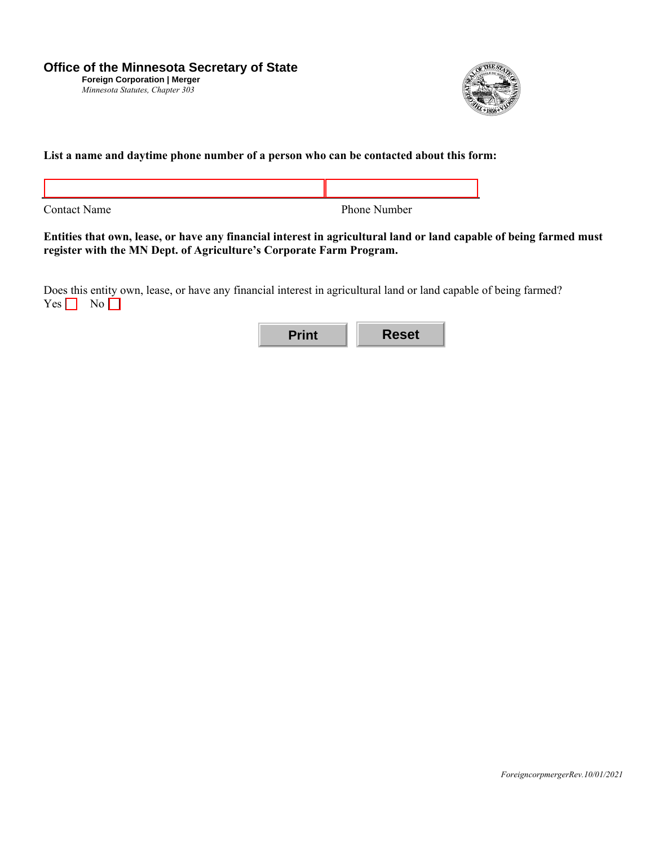

## **List a name and daytime phone number of a person who can be contacted about this form:**

Contact Name Phone Number

I

**Entities that own, lease, or have any financial interest in agricultural land or land capable of being farmed must register with the MN Dept. of Agriculture's Corporate Farm Program.** 

Does this entity own, lease, or have any financial interest in agricultural land or land capable of being farmed?  $Yes \tNo$